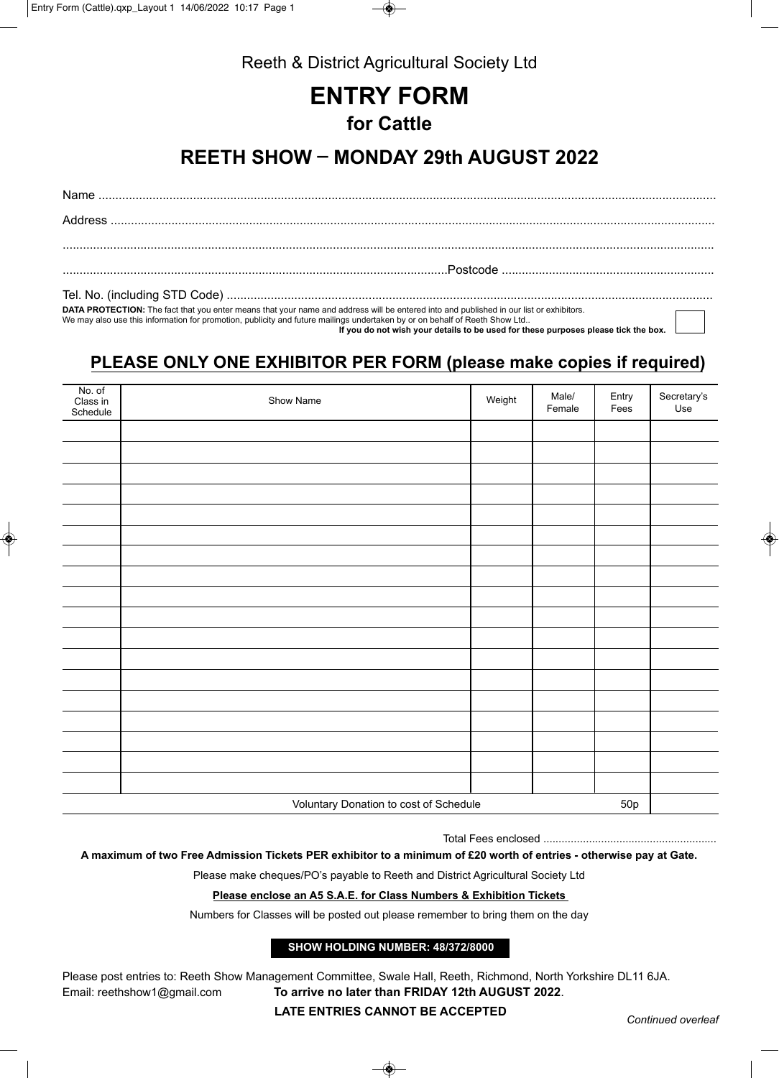

Reeth & District Agricultural Society Ltd

# **ENTRY FORM for Cattle**

## **REETH SHOW \_ MONDAY 29th AUGUST 2022**

Name ....................................................................................................................................................................................... Address ...................................................................................................................................................................................

..................................................................................................................Postcode ...............................................................

Tel. No. (including STD Code) ................................................................................................................................................

**DATA PROTECTION:** The fact that you enter means that your name and address will be entered into and published in our list or exhibitors.

We may also use this information for promotion, publicity and future mailings undertaken by or on behalf of Reeth Show Ltd..

 **If you do not wish your details to be used for these purposes please tick the box.**

### **PLEASE ONLY ONE EXHIBITOR PER FORM (please make copies if required)**

| No. of<br>Class in<br>Schedule | Show Name                              | Weight | Male/<br>Female | Entry<br>Fees | Secretary's<br>Use |
|--------------------------------|----------------------------------------|--------|-----------------|---------------|--------------------|
|                                |                                        |        |                 |               |                    |
|                                |                                        |        |                 |               |                    |
|                                |                                        |        |                 |               |                    |
|                                |                                        |        |                 |               |                    |
|                                |                                        |        |                 |               |                    |
|                                |                                        |        |                 |               |                    |
|                                |                                        |        |                 |               |                    |
|                                |                                        |        |                 |               |                    |
|                                |                                        |        |                 |               |                    |
|                                |                                        |        |                 |               |                    |
|                                |                                        |        |                 |               |                    |
|                                |                                        |        |                 |               |                    |
|                                |                                        |        |                 |               |                    |
|                                |                                        |        |                 |               |                    |
|                                |                                        |        |                 |               |                    |
|                                |                                        |        |                 |               |                    |
|                                |                                        |        |                 |               |                    |
|                                |                                        |        |                 |               |                    |
|                                |                                        |        |                 |               |                    |
|                                | Voluntary Donation to cost of Schedule |        |                 | 50p           |                    |

Total Fees enclosed .........................................................

**A maximum of two Free Admission Tickets PER exhibitor to a minimum of £20 worth of entries - otherwise pay at Gate.**

Please make cheques/PO's payable to Reeth and District Agricultural Society Ltd

### **Please enclose an A5 S.A.E. for Class Numbers & Exhibition Tickets**

Numbers for Classes will be posted out please remember to bring them on the day

### **SHOW HOLDING NUMBER: 48/372/8000**

Please post entries to: Reeth Show Management Committee, Swale Hall, Reeth, Richmond, North Yorkshire DL11 6JA. Email: reethshow1@gmail.com **To arrive no later than FRIDAY 12th AUGUST 2022**.

**LATE ENTRIES CANNOT BE ACCEPTED** *Continued overleaf*

❀